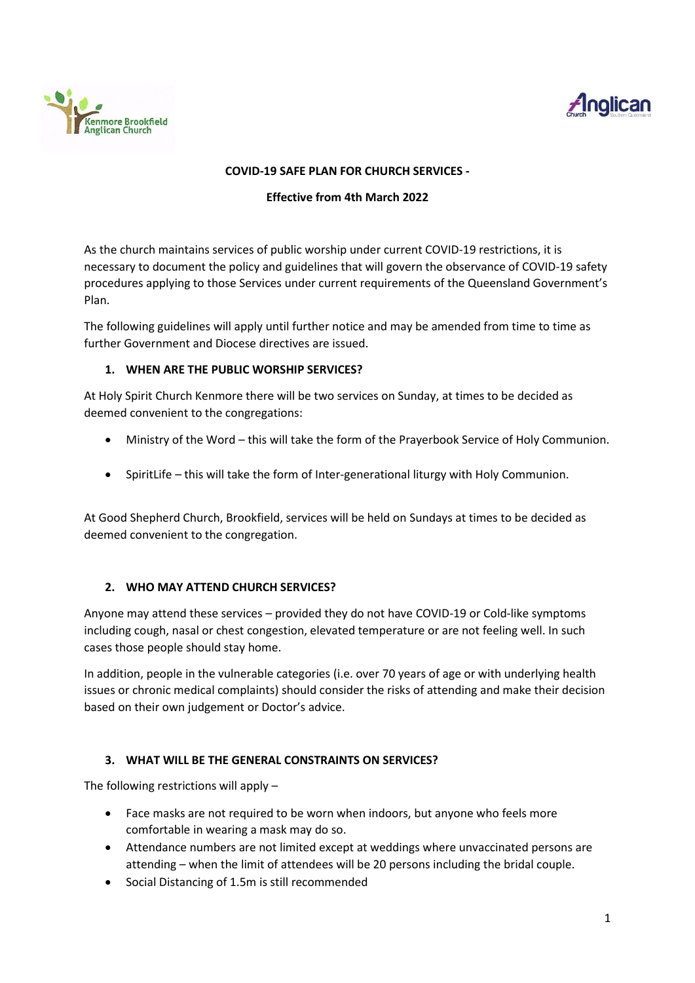



#### **COVID-19 SAFE PLAN FOR CHURCH SERVICES -**

#### **Effective from 4th March 2022**

As the church maintains services of public worship under current COVID-19 restrictions, it is necessary to document the policy and guidelines that will govern the observance of COVID-19 safety procedures applying to those Services under current requirements of the Queensland Government's Plan.

The following guidelines will apply until further notice and may be amended from time to time as further Government and Diocese directives are issued.

#### **1. WHEN ARE THE PUBLIC WORSHIP SERVICES?**

At Holy Spirit Church Kenmore there will be two services on Sunday, at times to be decided as deemed convenient to the congregations:

- Ministry of the Word this will take the form of the Prayerbook Service of Holy Communion.
- SpiritLife this will take the form of Inter-generational liturgy with Holy Communion.

At Good Shepherd Church, Brookfield, services will be held on Sundays at times to be decided as deemed convenient to the congregation.

### **2. WHO MAY ATTEND CHURCH SERVICES?**

Anyone may attend these services – provided they do not have COVID-19 or Cold-like symptoms including cough, nasal or chest congestion, elevated temperature or are not feeling well. In such cases those people should stay home.

In addition, people in the vulnerable categories (i.e. over 70 years of age or with underlying health issues or chronic medical complaints) should consider the risks of attending and make their decision based on their own judgement or Doctor's advice.

### **3. WHAT WILL BE THE GENERAL CONSTRAINTS ON SERVICES?**

The following restrictions will apply –

- Face masks are not required to be worn when indoors, but anyone who feels more comfortable in wearing a mask may do so.
- Attendance numbers are not limited except at weddings where unvaccinated persons are attending – when the limit of attendees will be 20 persons including the bridal couple.
- Social Distancing of 1.5m is still recommended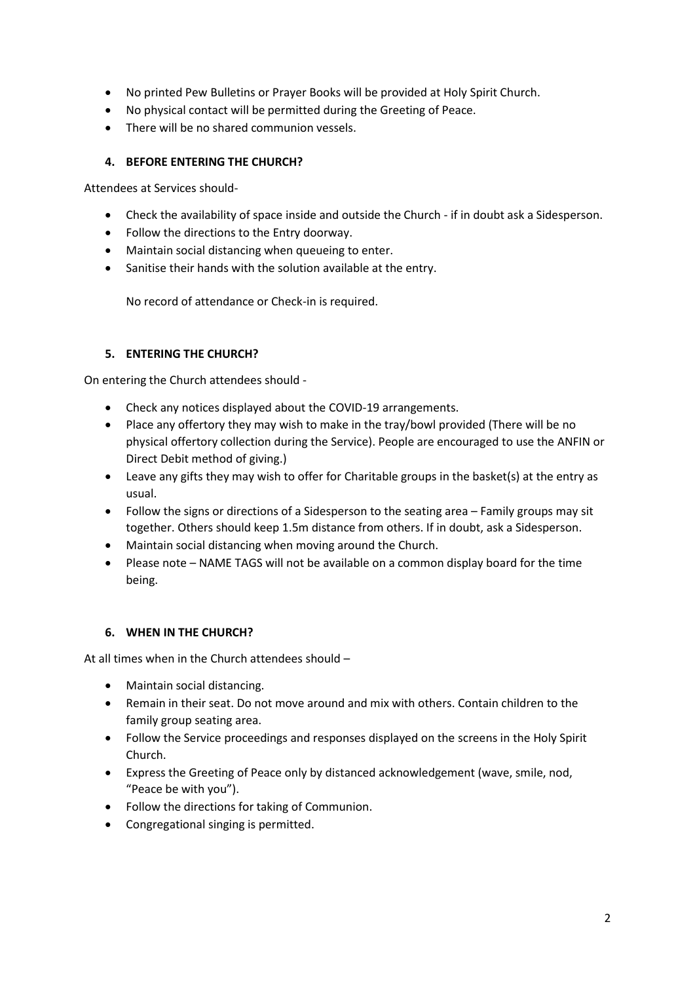- No printed Pew Bulletins or Prayer Books will be provided at Holy Spirit Church.
- No physical contact will be permitted during the Greeting of Peace.
- There will be no shared communion vessels.

## **4. BEFORE ENTERING THE CHURCH?**

Attendees at Services should-

- Check the availability of space inside and outside the Church if in doubt ask a Sidesperson.
- Follow the directions to the Entry doorway.
- Maintain social distancing when queueing to enter.
- Sanitise their hands with the solution available at the entry.

No record of attendance or Check-in is required.

### **5. ENTERING THE CHURCH?**

On entering the Church attendees should -

- Check any notices displayed about the COVID-19 arrangements.
- Place any offertory they may wish to make in the tray/bowl provided (There will be no physical offertory collection during the Service). People are encouraged to use the ANFIN or Direct Debit method of giving.)
- Leave any gifts they may wish to offer for Charitable groups in the basket(s) at the entry as usual.
- Follow the signs or directions of a Sidesperson to the seating area Family groups may sit together. Others should keep 1.5m distance from others. If in doubt, ask a Sidesperson.
- Maintain social distancing when moving around the Church.
- Please note NAME TAGS will not be available on a common display board for the time being.

### **6. WHEN IN THE CHURCH?**

At all times when in the Church attendees should –

- Maintain social distancing.
- Remain in their seat. Do not move around and mix with others. Contain children to the family group seating area.
- Follow the Service proceedings and responses displayed on the screens in the Holy Spirit Church.
- Express the Greeting of Peace only by distanced acknowledgement (wave, smile, nod, "Peace be with you").
- Follow the directions for taking of Communion.
- Congregational singing is permitted.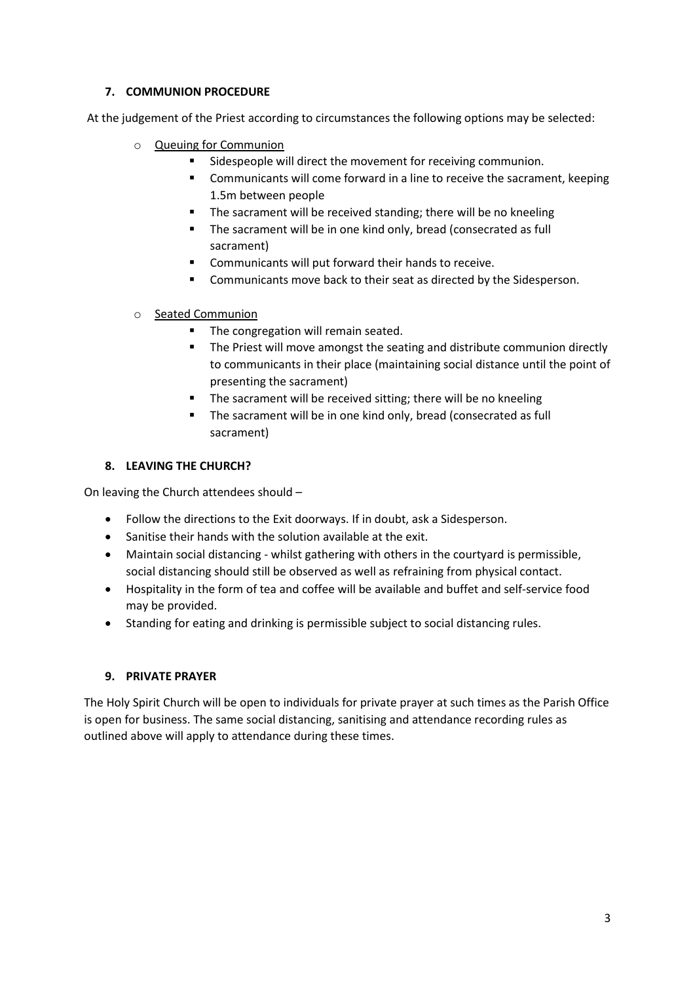## **7. COMMUNION PROCEDURE**

At the judgement of the Priest according to circumstances the following options may be selected:

- o Queuing for Communion
	- Sidespeople will direct the movement for receiving communion.
	- **EXED** Communicants will come forward in a line to receive the sacrament, keeping 1.5m between people
	- The sacrament will be received standing; there will be no kneeling
	- The sacrament will be in one kind only, bread (consecrated as full sacrament)
	- Communicants will put forward their hands to receive.
	- Communicants move back to their seat as directed by the Sidesperson.
- o Seated Communion
	- The congregation will remain seated.
	- The Priest will move amongst the seating and distribute communion directly to communicants in their place (maintaining social distance until the point of presenting the sacrament)
	- The sacrament will be received sitting; there will be no kneeling
	- The sacrament will be in one kind only, bread (consecrated as full sacrament)

# **8. LEAVING THE CHURCH?**

On leaving the Church attendees should –

- Follow the directions to the Exit doorways. If in doubt, ask a Sidesperson.
- Sanitise their hands with the solution available at the exit.
- Maintain social distancing whilst gathering with others in the courtyard is permissible, social distancing should still be observed as well as refraining from physical contact.
- Hospitality in the form of tea and coffee will be available and buffet and self-service food may be provided.
- Standing for eating and drinking is permissible subject to social distancing rules.

### **9. PRIVATE PRAYER**

The Holy Spirit Church will be open to individuals for private prayer at such times as the Parish Office is open for business. The same social distancing, sanitising and attendance recording rules as outlined above will apply to attendance during these times.